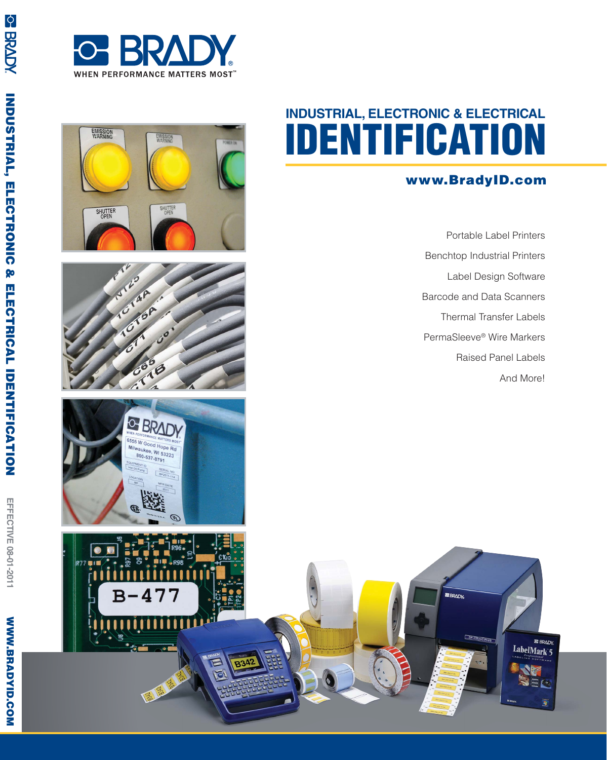





### **www.BradyID.com**

Portable Label Printers Benchtop Industrial Printers Label Design Software Barcode and Data Scanners Thermal Transfer Labels PermaSleeve ® Wire Markers Raised Panel Labels And More!

> **E BRADY** LabelMark 5



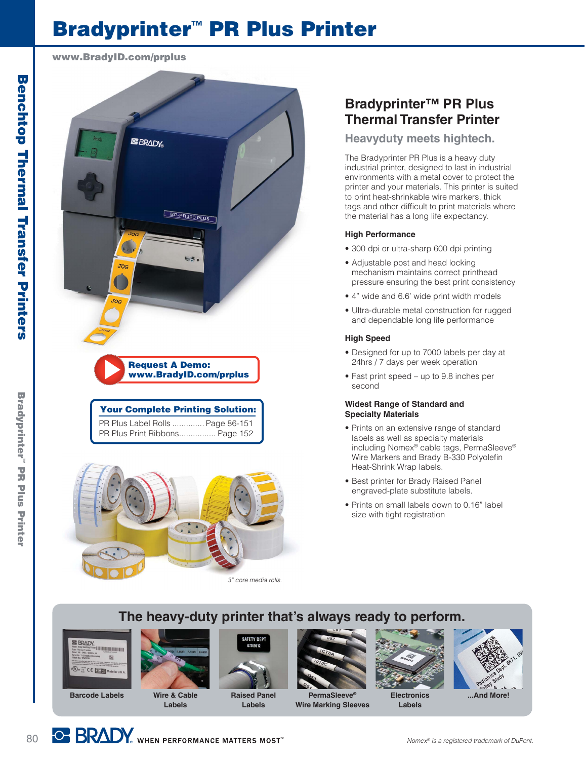# **Bradyprinter ™ PR Plus Printer**

**www.BradyID.com/prplus**







## **Bradyprinter™ PR Plus Thermal Transfer Printer**

### **Heavyduty meets hightech.**

The Bradyprinter PR Plus is a heavy duty industrial printer, designed to last in industrial environments with a metal cover to protect the printer and your materials. This printer is suited to print heat-shrinkable wire markers, thick tags and other difficult to print materials where the material has a long life expectancy.

### **High Performance**

- 300 dpi or ultra-sharp 600 dpi printing
- Adjustable post and head locking mechanism maintains correct printhead pressure ensuring the best print consistency
- 4" wide and 6.6' wide print width models
- Ultra-durable metal construction for rugged and dependable long life performance

#### **High Speed**

- Designed for up to 7000 labels per day at 24hrs / 7 days per week operation
- Fast print speed up to 9.8 inches per second

#### **Widest Range of Standard and Specialty Materials**

- Prints on an extensive range of standard labels as well as specialty materials including Nomex ® cable tags, PermaSleeve ® Wire Markers and Brady B-330 Polyolefin Heat-Shrink Wrap labels.
- Best printer for Brady Raised Panel engraved-plate substitute labels.
- Prints on small labels down to 0.16" label size with tight registration

## **The heavy-duty printer that's always ready to perform.**





**Wire & Cable Labels**



**Raised Panel Labels**



**Wire Marking Sleeves**



**Bradyprinter™ PR Plus Printer**

**Bradyprinter** PIG BLOS Printer